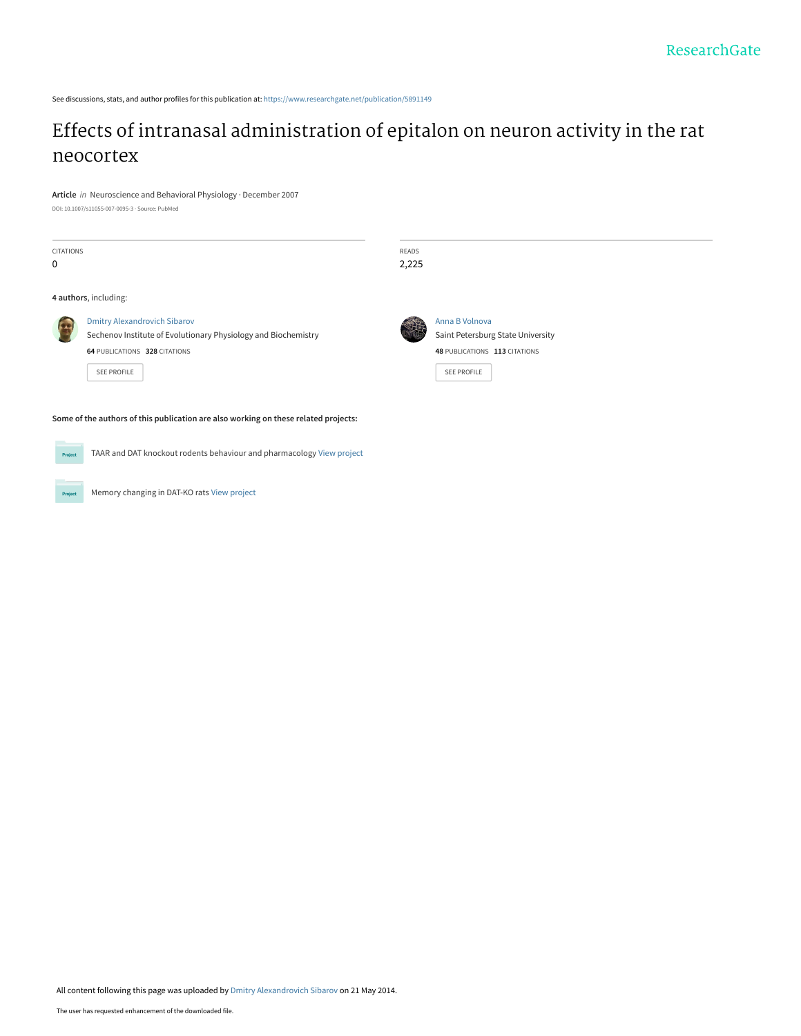See discussions, stats, and author profiles for this publication at: [https://www.researchgate.net/publication/5891149](https://www.researchgate.net/publication/5891149_Effects_of_intranasal_administration_of_epitalon_on_neuron_activity_in_the_rat_neocortex?enrichId=rgreq-59526b438cf4e0187a585cd3922f785a-XXX&enrichSource=Y292ZXJQYWdlOzU4OTExNDk7QVM6OTkzMzQ3NTAyMTIxMjRAMTQwMDY5NDY1OTM5NQ%3D%3D&el=1_x_2&_esc=publicationCoverPdf)

# [Effects of intranasal administration of epitalon on neuron activity in the rat](https://www.researchgate.net/publication/5891149_Effects_of_intranasal_administration_of_epitalon_on_neuron_activity_in_the_rat_neocortex?enrichId=rgreq-59526b438cf4e0187a585cd3922f785a-XXX&enrichSource=Y292ZXJQYWdlOzU4OTExNDk7QVM6OTkzMzQ3NTAyMTIxMjRAMTQwMDY5NDY1OTM5NQ%3D%3D&el=1_x_3&_esc=publicationCoverPdf) neocortex

**Article** in Neuroscience and Behavioral Physiology · December 2007

DOI: 10.1007/s11055-007-0095-3 · Source: PubMed

| CITATIONS<br>$\mathbf 0$                                                            |                                                                                                                                                       | READS<br>2,225 |                                                                                                            |
|-------------------------------------------------------------------------------------|-------------------------------------------------------------------------------------------------------------------------------------------------------|----------------|------------------------------------------------------------------------------------------------------------|
| 4 authors, including:                                                               |                                                                                                                                                       |                |                                                                                                            |
|                                                                                     | <b>Dmitry Alexandrovich Sibarov</b><br>Sechenov Institute of Evolutionary Physiology and Biochemistry<br>64 PUBLICATIONS 328 CITATIONS<br>SEE PROFILE |                | Anna B Volnova<br>Saint Petersburg State University<br>48 PUBLICATIONS 113 CITATIONS<br><b>SEE PROFILE</b> |
| Some of the authors of this publication are also working on these related projects: |                                                                                                                                                       |                |                                                                                                            |
| Project                                                                             | TAAR and DAT knockout rodents behaviour and pharmacology View project                                                                                 |                |                                                                                                            |

**Project** Memory changing in DAT-KO rats [View project](https://www.researchgate.net/project/Memory-changing-in-DAT-KO-rats?enrichId=rgreq-59526b438cf4e0187a585cd3922f785a-XXX&enrichSource=Y292ZXJQYWdlOzU4OTExNDk7QVM6OTkzMzQ3NTAyMTIxMjRAMTQwMDY5NDY1OTM5NQ%3D%3D&el=1_x_9&_esc=publicationCoverPdf)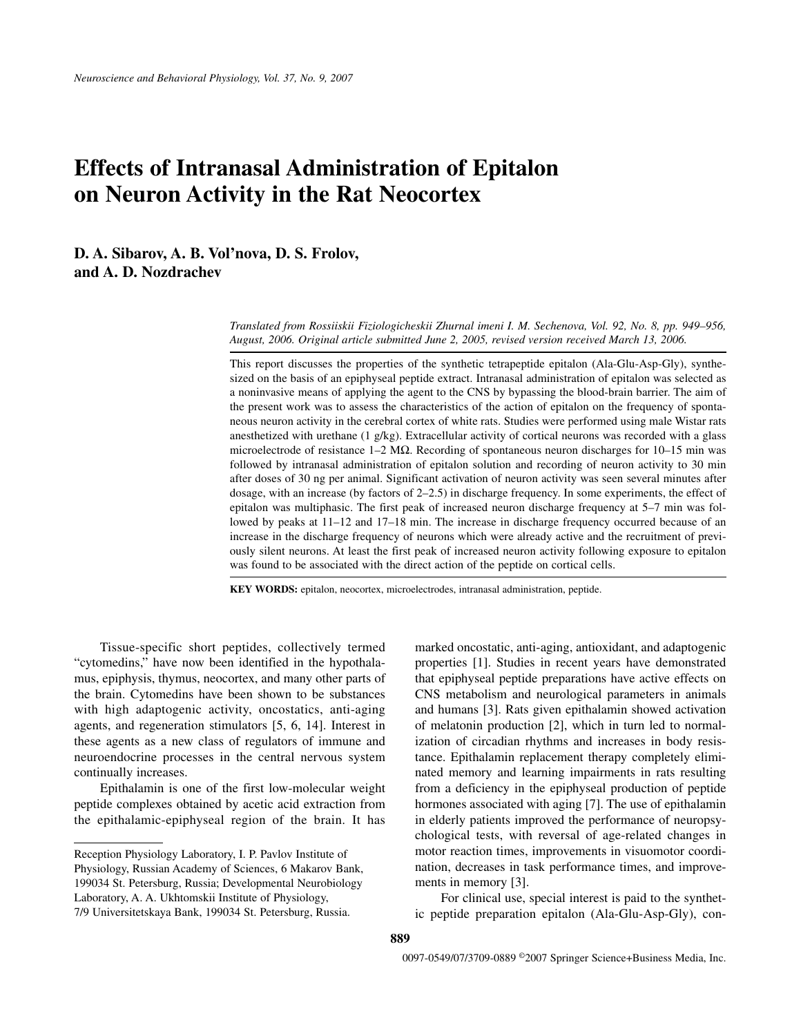# **Effects of Intranasal Administration of Epitalon on Neuron Activity in the Rat Neocortex**

**D. A. Sibarov, A. B. Vol'nova, D. S. Frolov, and A. D. Nozdrachev**

> *Translated from Rossiiskii Fiziologicheskii Zhurnal imeni I. M. Sechenova, Vol. 92, No. 8, pp. 949–956, August, 2006. Original article submitted June 2, 2005, revised version received March 13, 2006.*

> This report discusses the properties of the synthetic tetrapeptide epitalon (Ala-Glu-Asp-Gly), synthesized on the basis of an epiphyseal peptide extract. Intranasal administration of epitalon was selected as a noninvasive means of applying the agent to the CNS by bypassing the blood-brain barrier. The aim of the present work was to assess the characteristics of the action of epitalon on the frequency of spontaneous neuron activity in the cerebral cortex of white rats. Studies were performed using male Wistar rats anesthetized with urethane (1 g/kg). Extracellular activity of cortical neurons was recorded with a glass microelectrode of resistance 1–2 MΩ. Recording of spontaneous neuron discharges for 10–15 min was followed by intranasal administration of epitalon solution and recording of neuron activity to 30 min after doses of 30 ng per animal. Significant activation of neuron activity was seen several minutes after dosage, with an increase (by factors of 2–2.5) in discharge frequency. In some experiments, the effect of epitalon was multiphasic. The first peak of increased neuron discharge frequency at 5–7 min was followed by peaks at 11–12 and 17–18 min. The increase in discharge frequency occurred because of an increase in the discharge frequency of neurons which were already active and the recruitment of previously silent neurons. At least the first peak of increased neuron activity following exposure to epitalon was found to be associated with the direct action of the peptide on cortical cells.

**KEY WORDS:** epitalon, neocortex, microelectrodes, intranasal administration, peptide.

Tissue-specific short peptides, collectively termed "cytomedins," have now been identified in the hypothalamus, epiphysis, thymus, neocortex, and many other parts of the brain. Cytomedins have been shown to be substances with high adaptogenic activity, oncostatics, anti-aging agents, and regeneration stimulators [5, 6, 14]. Interest in these agents as a new class of regulators of immune and neuroendocrine processes in the central nervous system continually increases.

Epithalamin is one of the first low-molecular weight peptide complexes obtained by acetic acid extraction from the epithalamic-epiphyseal region of the brain. It has marked oncostatic, anti-aging, antioxidant, and adaptogenic properties [1]. Studies in recent years have demonstrated that epiphyseal peptide preparations have active effects on CNS metabolism and neurological parameters in animals and humans [3]. Rats given epithalamin showed activation of melatonin production [2], which in turn led to normalization of circadian rhythms and increases in body resistance. Epithalamin replacement therapy completely eliminated memory and learning impairments in rats resulting from a deficiency in the epiphyseal production of peptide hormones associated with aging [7]. The use of epithalamin in elderly patients improved the performance of neuropsychological tests, with reversal of age-related changes in motor reaction times, improvements in visuomotor coordination, decreases in task performance times, and improvements in memory [3].

For clinical use, special interest is paid to the synthetic peptide preparation epitalon (Ala-Glu-Asp-Gly), con-

Reception Physiology Laboratory, I. P. Pavlov Institute of Physiology, Russian Academy of Sciences, 6 Makarov Bank, 199034 St. Petersburg, Russia; Developmental Neurobiology Laboratory, A. A. Ukhtomskii Institute of Physiology, 7/9 Universitetskaya Bank, 199034 St. Petersburg, Russia.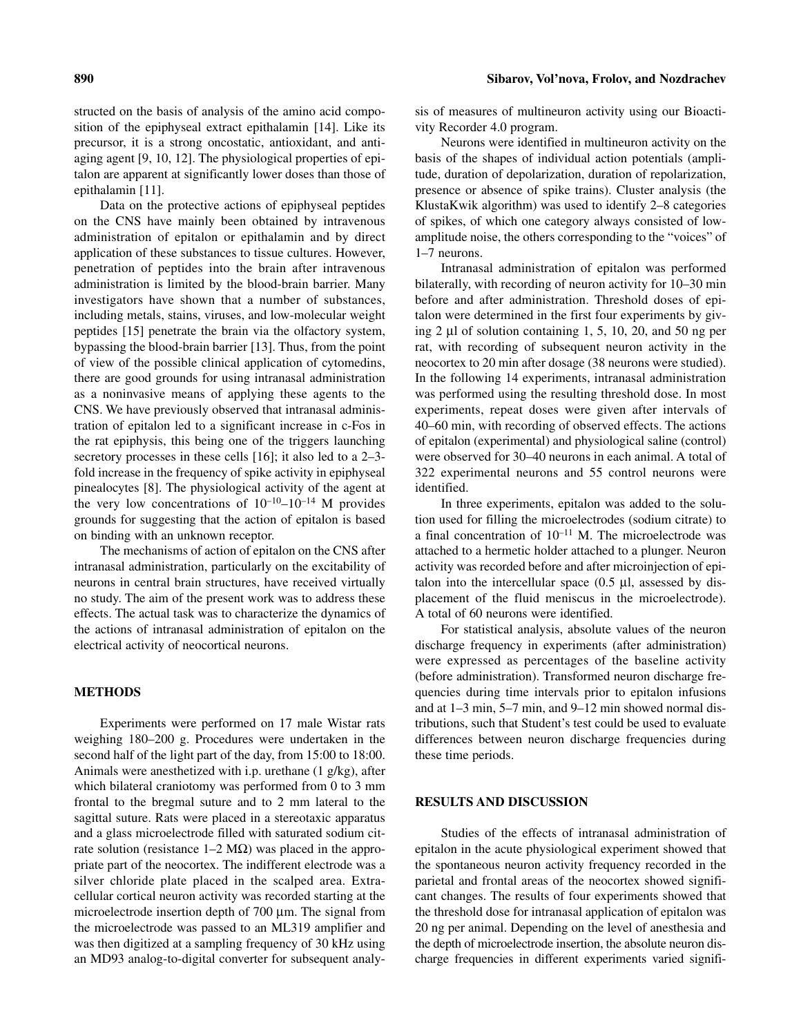structed on the basis of analysis of the amino acid composition of the epiphyseal extract epithalamin [14]. Like its precursor, it is a strong oncostatic, antioxidant, and anti-

aging agent [9, 10, 12]. The physiological properties of epitalon are apparent at significantly lower doses than those of epithalamin [11].

Data on the protective actions of epiphyseal peptides on the CNS have mainly been obtained by intravenous administration of epitalon or epithalamin and by direct application of these substances to tissue cultures. However, penetration of peptides into the brain after intravenous administration is limited by the blood-brain barrier. Many investigators have shown that a number of substances, including metals, stains, viruses, and low-molecular weight peptides [15] penetrate the brain via the olfactory system, bypassing the blood-brain barrier [13]. Thus, from the point of view of the possible clinical application of cytomedins, there are good grounds for using intranasal administration as a noninvasive means of applying these agents to the CNS. We have previously observed that intranasal administration of epitalon led to a significant increase in c-Fos in the rat epiphysis, this being one of the triggers launching secretory processes in these cells [16]; it also led to a 2–3 fold increase in the frequency of spike activity in epiphyseal pinealocytes [8]. The physiological activity of the agent at the very low concentrations of  $10^{-10}$ – $10^{-14}$  M provides grounds for suggesting that the action of epitalon is based on binding with an unknown receptor.

The mechanisms of action of epitalon on the CNS after intranasal administration, particularly on the excitability of neurons in central brain structures, have received virtually no study. The aim of the present work was to address these effects. The actual task was to characterize the dynamics of the actions of intranasal administration of epitalon on the electrical activity of neocortical neurons.

#### **METHODS**

Experiments were performed on 17 male Wistar rats weighing 180–200 g. Procedures were undertaken in the second half of the light part of the day, from 15:00 to 18:00. Animals were anesthetized with i.p. urethane (1 g/kg), after which bilateral craniotomy was performed from 0 to 3 mm frontal to the bregmal suture and to 2 mm lateral to the sagittal suture. Rats were placed in a stereotaxic apparatus and a glass microelectrode filled with saturated sodium citrate solution (resistance  $1-2 \text{ M}\Omega$ ) was placed in the appropriate part of the neocortex. The indifferent electrode was a silver chloride plate placed in the scalped area. Extracellular cortical neuron activity was recorded starting at the microelectrode insertion depth of 700  $\mu$ m. The signal from the microelectrode was passed to an ML319 amplifier and was then digitized at a sampling frequency of 30 kHz using an MD93 analog-to-digital converter for subsequent analysis of measures of multineuron activity using our Bioactivity Recorder 4.0 program.

Neurons were identified in multineuron activity on the basis of the shapes of individual action potentials (amplitude, duration of depolarization, duration of repolarization, presence or absence of spike trains). Cluster analysis (the KlustaKwik algorithm) was used to identify 2–8 categories of spikes, of which one category always consisted of lowamplitude noise, the others corresponding to the "voices" of 1–7 neurons.

Intranasal administration of epitalon was performed bilaterally, with recording of neuron activity for 10–30 min before and after administration. Threshold doses of epitalon were determined in the first four experiments by giving 2 µl of solution containing 1, 5, 10, 20, and 50 ng per rat, with recording of subsequent neuron activity in the neocortex to 20 min after dosage (38 neurons were studied). In the following 14 experiments, intranasal administration was performed using the resulting threshold dose. In most experiments, repeat doses were given after intervals of 40–60 min, with recording of observed effects. The actions of epitalon (experimental) and physiological saline (control) were observed for 30–40 neurons in each animal. A total of 322 experimental neurons and 55 control neurons were identified.

In three experiments, epitalon was added to the solution used for filling the microelectrodes (sodium citrate) to a final concentration of  $10^{-11}$  M. The microelectrode was attached to a hermetic holder attached to a plunger. Neuron activity was recorded before and after microinjection of epitalon into the intercellular space  $(0.5 \mu l)$ , assessed by displacement of the fluid meniscus in the microelectrode). A total of 60 neurons were identified.

For statistical analysis, absolute values of the neuron discharge frequency in experiments (after administration) were expressed as percentages of the baseline activity (before administration). Transformed neuron discharge frequencies during time intervals prior to epitalon infusions and at 1–3 min, 5–7 min, and 9–12 min showed normal distributions, such that Student's test could be used to evaluate differences between neuron discharge frequencies during these time periods.

#### **RESULTS AND DISCUSSION**

Studies of the effects of intranasal administration of epitalon in the acute physiological experiment showed that the spontaneous neuron activity frequency recorded in the parietal and frontal areas of the neocortex showed significant changes. The results of four experiments showed that the threshold dose for intranasal application of epitalon was 20 ng per animal. Depending on the level of anesthesia and the depth of microelectrode insertion, the absolute neuron discharge frequencies in different experiments varied signifi-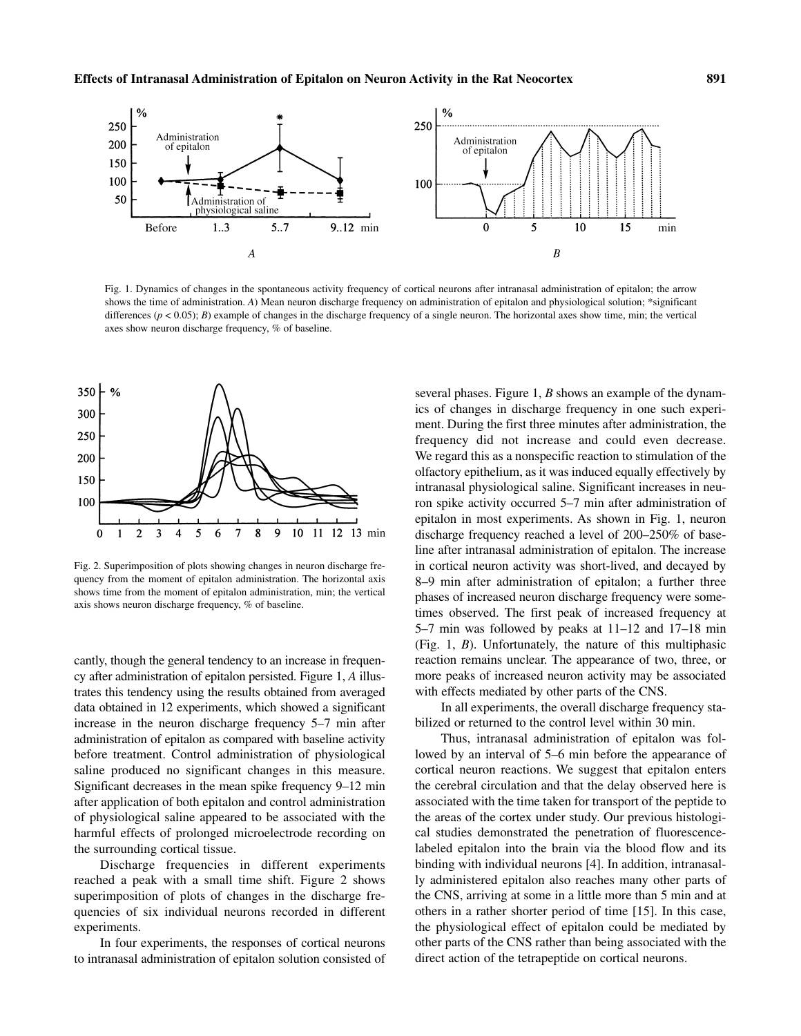

Fig. 1. Dynamics of changes in the spontaneous activity frequency of cortical neurons after intranasal administration of epitalon; the arrow shows the time of administration. *A*) Mean neuron discharge frequency on administration of epitalon and physiological solution; \*significant differences  $(p < 0.05)$ ; *B*) example of changes in the discharge frequency of a single neuron. The horizontal axes show time, min; the vertical axes show neuron discharge frequency, % of baseline.



Fig. 2. Superimposition of plots showing changes in neuron discharge frequency from the moment of epitalon administration. The horizontal axis shows time from the moment of epitalon administration, min; the vertical axis shows neuron discharge frequency, % of baseline.

cantly, though the general tendency to an increase in frequency after administration of epitalon persisted. Figure 1, *A* illustrates this tendency using the results obtained from averaged data obtained in 12 experiments, which showed a significant increase in the neuron discharge frequency 5–7 min after administration of epitalon as compared with baseline activity before treatment. Control administration of physiological saline produced no significant changes in this measure. Significant decreases in the mean spike frequency 9–12 min after application of both epitalon and control administration of physiological saline appeared to be associated with the harmful effects of prolonged microelectrode recording on the surrounding cortical tissue.

Discharge frequencies in different experiments reached a peak with a small time shift. Figure 2 shows superimposition of plots of changes in the discharge frequencies of six individual neurons recorded in different experiments.

In four experiments, the responses of cortical neurons to intranasal administration of epitalon solution consisted of several phases. Figure 1, *B* shows an example of the dynamics of changes in discharge frequency in one such experiment. During the first three minutes after administration, the frequency did not increase and could even decrease. We regard this as a nonspecific reaction to stimulation of the olfactory epithelium, as it was induced equally effectively by intranasal physiological saline. Significant increases in neuron spike activity occurred 5–7 min after administration of epitalon in most experiments. As shown in Fig. 1, neuron discharge frequency reached a level of 200–250% of baseline after intranasal administration of epitalon. The increase in cortical neuron activity was short-lived, and decayed by 8–9 min after administration of epitalon; a further three phases of increased neuron discharge frequency were sometimes observed. The first peak of increased frequency at 5–7 min was followed by peaks at 11–12 and 17–18 min (Fig. 1, *B*). Unfortunately, the nature of this multiphasic reaction remains unclear. The appearance of two, three, or more peaks of increased neuron activity may be associated with effects mediated by other parts of the CNS.

In all experiments, the overall discharge frequency stabilized or returned to the control level within 30 min.

Thus, intranasal administration of epitalon was followed by an interval of 5–6 min before the appearance of cortical neuron reactions. We suggest that epitalon enters the cerebral circulation and that the delay observed here is associated with the time taken for transport of the peptide to the areas of the cortex under study. Our previous histological studies demonstrated the penetration of fluorescencelabeled epitalon into the brain via the blood flow and its binding with individual neurons [4]. In addition, intranasally administered epitalon also reaches many other parts of the CNS, arriving at some in a little more than 5 min and at others in a rather shorter period of time [15]. In this case, the physiological effect of epitalon could be mediated by other parts of the CNS rather than being associated with the direct action of the tetrapeptide on cortical neurons.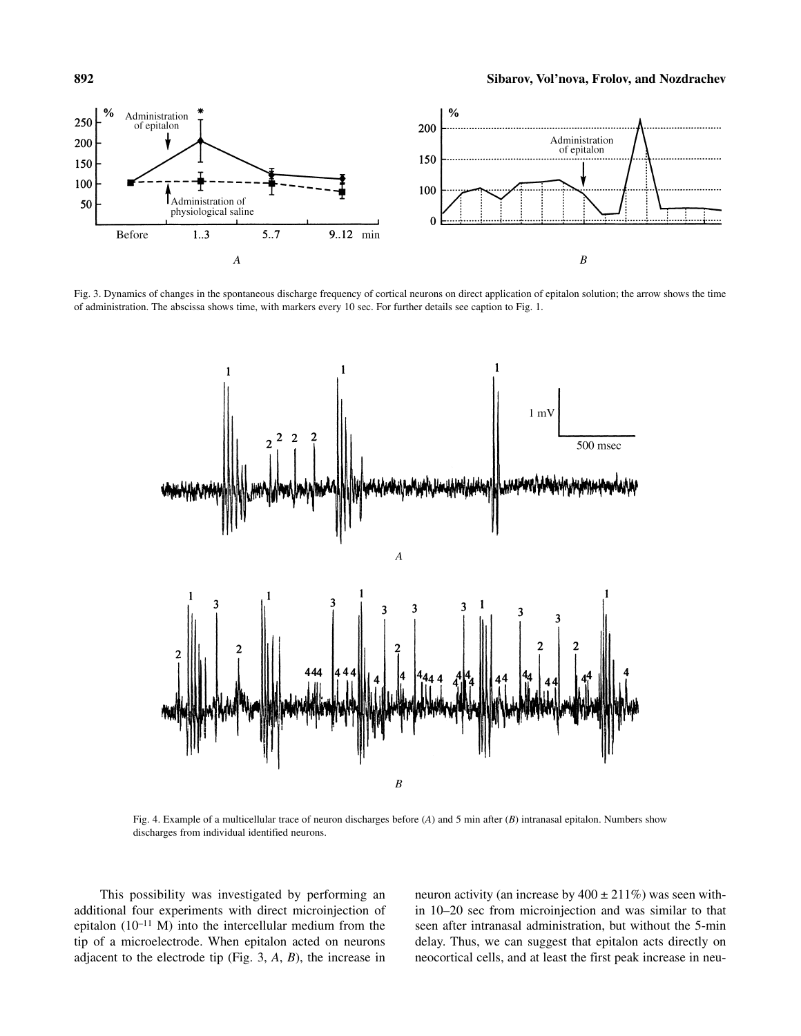

Fig. 3. Dynamics of changes in the spontaneous discharge frequency of cortical neurons on direct application of epitalon solution; the arrow shows the time of administration. The abscissa shows time, with markers every 10 sec. For further details see caption to Fig. 1.



Fig. 4. Example of a multicellular trace of neuron discharges before (*A*) and 5 min after (*B*) intranasal epitalon. Numbers show discharges from individual identified neurons.

This possibility was investigated by performing an additional four experiments with direct microinjection of epitalon  $(10^{-11}$  M) into the intercellular medium from the tip of a microelectrode. When epitalon acted on neurons adjacent to the electrode tip (Fig. 3, *A*, *B*), the increase in neuron activity (an increase by  $400 \pm 211\%$ ) was seen within 10–20 sec from microinjection and was similar to that seen after intranasal administration, but without the 5-min delay. Thus, we can suggest that epitalon acts directly on neocortical cells, and at least the first peak increase in neu